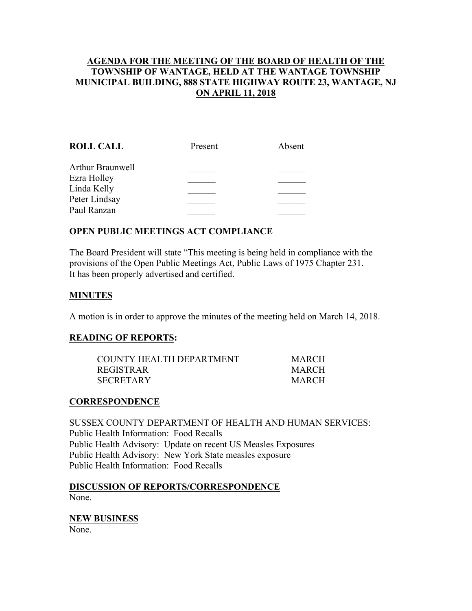# **AGENDA FOR THE MEETING OF THE BOARD OF HEALTH OF THE TOWNSHIP OF WANTAGE, HELD AT THE WANTAGE TOWNSHIP MUNICIPAL BUILDING, 888 STATE HIGHWAY ROUTE 23, WANTAGE, NJ ON APRIL 11, 2018**

| <b>ROLL CALL</b> | Present | Absent |
|------------------|---------|--------|
| Arthur Braunwell |         |        |
| Ezra Holley      |         |        |
| Linda Kelly      |         |        |
| Peter Lindsay    |         |        |
| Paul Ranzan      |         |        |
|                  |         |        |

# **OPEN PUBLIC MEETINGS ACT COMPLIANCE**

The Board President will state "This meeting is being held in compliance with the provisions of the Open Public Meetings Act, Public Laws of 1975 Chapter 231. It has been properly advertised and certified.

### **MINUTES**

A motion is in order to approve the minutes of the meeting held on March 14, 2018.

#### **READING OF REPORTS:**

| COUNTY HEALTH DEPARTMENT | <b>MARCH</b> |
|--------------------------|--------------|
| REGISTRAR                | <b>MARCH</b> |
| SECRETARY                | <b>MARCH</b> |

#### **CORRESPONDENCE**

SUSSEX COUNTY DEPARTMENT OF HEALTH AND HUMAN SERVICES: Public Health Information: Food Recalls Public Health Advisory: Update on recent US Measles Exposures Public Health Advisory: New York State measles exposure Public Health Information: Food Recalls

**DISCUSSION OF REPORTS/CORRESPONDENCE** None.

#### **NEW BUSINESS**

None.